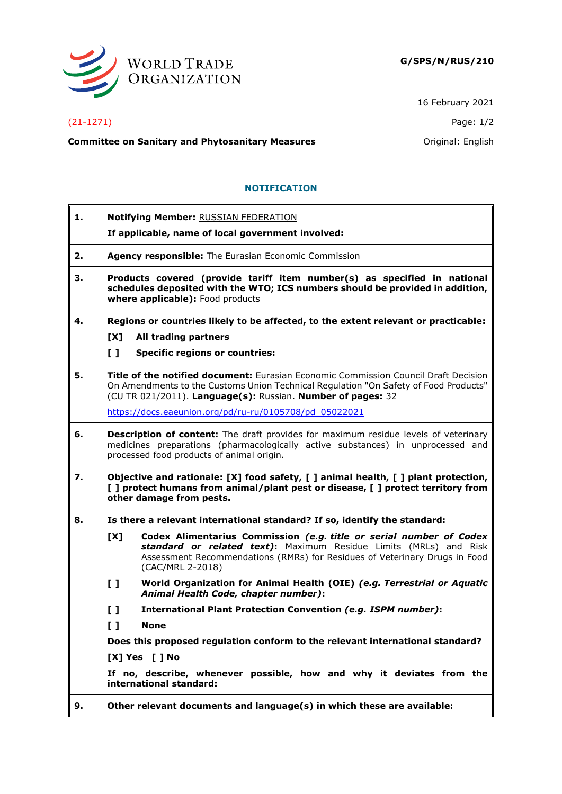

16 February 2021

## (21-1271) Page: 1/2

**Committee on Sanitary and Phytosanitary Measures Committee on Sanitary and Phytosanitary Measures Committee on Sanitary and Phytosanitary Measures** 

## **NOTIFICATION**

| 1.             |                                                                                                                                                                                                                            | Notifying Member: RUSSIAN FEDERATION                                                                                                                                                                                                              |  |
|----------------|----------------------------------------------------------------------------------------------------------------------------------------------------------------------------------------------------------------------------|---------------------------------------------------------------------------------------------------------------------------------------------------------------------------------------------------------------------------------------------------|--|
|                |                                                                                                                                                                                                                            | If applicable, name of local government involved:                                                                                                                                                                                                 |  |
| 2.             | Agency responsible: The Eurasian Economic Commission                                                                                                                                                                       |                                                                                                                                                                                                                                                   |  |
| з.             | Products covered (provide tariff item number(s) as specified in national<br>schedules deposited with the WTO; ICS numbers should be provided in addition,<br>where applicable): Food products                              |                                                                                                                                                                                                                                                   |  |
| 4.             |                                                                                                                                                                                                                            | Regions or countries likely to be affected, to the extent relevant or practicable:                                                                                                                                                                |  |
|                | [X]                                                                                                                                                                                                                        | All trading partners                                                                                                                                                                                                                              |  |
|                | $\mathbf{L}$                                                                                                                                                                                                               | <b>Specific regions or countries:</b>                                                                                                                                                                                                             |  |
| 5.             |                                                                                                                                                                                                                            | <b>Title of the notified document:</b> Eurasian Economic Commission Council Draft Decision<br>On Amendments to the Customs Union Technical Regulation "On Safety of Food Products"<br>(CU TR 021/2011). Language(s): Russian. Number of pages: 32 |  |
|                |                                                                                                                                                                                                                            | https://docs.eaeunion.org/pd/ru-ru/0105708/pd 05022021                                                                                                                                                                                            |  |
| 6.             | <b>Description of content:</b> The draft provides for maximum residue levels of veterinary<br>medicines preparations (pharmacologically active substances) in unprocessed and<br>processed food products of animal origin. |                                                                                                                                                                                                                                                   |  |
| 7.             | Objective and rationale: [X] food safety, [ ] animal health, [ ] plant protection,<br>[ ] protect humans from animal/plant pest or disease, [ ] protect territory from<br>other damage from pests.                         |                                                                                                                                                                                                                                                   |  |
| 8.             | Is there a relevant international standard? If so, identify the standard:                                                                                                                                                  |                                                                                                                                                                                                                                                   |  |
|                | [X]                                                                                                                                                                                                                        | Codex Alimentarius Commission (e.g. title or serial number of Codex<br>standard or related text): Maximum Residue Limits (MRLs) and Risk<br>Assessment Recommendations (RMRs) for Residues of Veterinary Drugs in Food<br>(CAC/MRL 2-2018)        |  |
|                | L I                                                                                                                                                                                                                        | World Organization for Animal Health (OIE) (e.g. Terrestrial or Aquatic<br>Animal Health Code, chapter number):                                                                                                                                   |  |
|                | $\mathbf{L}$                                                                                                                                                                                                               | International Plant Protection Convention (e.g. ISPM number):                                                                                                                                                                                     |  |
|                | $\mathbf{L}$                                                                                                                                                                                                               | <b>None</b>                                                                                                                                                                                                                                       |  |
|                |                                                                                                                                                                                                                            | Does this proposed regulation conform to the relevant international standard?                                                                                                                                                                     |  |
| [X] Yes [ ] No |                                                                                                                                                                                                                            |                                                                                                                                                                                                                                                   |  |
|                |                                                                                                                                                                                                                            | If no, describe, whenever possible, how and why it deviates from the<br>international standard:                                                                                                                                                   |  |
| 9.             | Other relevant documents and language(s) in which these are available:                                                                                                                                                     |                                                                                                                                                                                                                                                   |  |